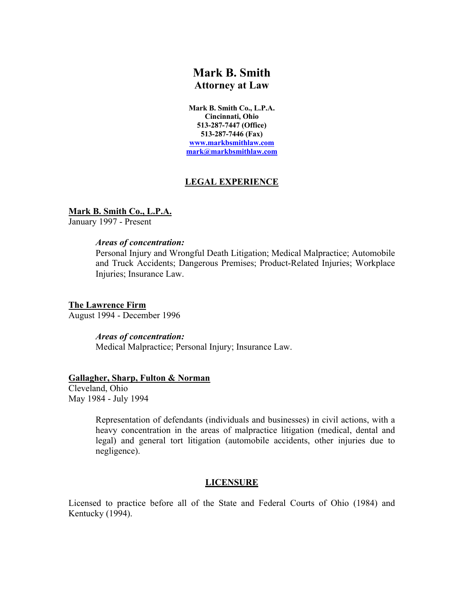# **Mark B. Smith**

**Attorney at Law**

**Mark B. Smith Co., L.P.A. Cincinnati, Ohio 513-287-7447 (Office) 513-287-7446 (Fax) www.markbsmithlaw.com mark@markbsmithlaw.com**

## **LEGAL EXPERIENCE**

**Mark B. Smith Co., L.P.A.**

January 1997 - Present

## *Areas of concentration:*

Personal Injury and Wrongful Death Litigation; Medical Malpractice; Automobile and Truck Accidents; Dangerous Premises; Product-Related Injuries; Workplace Injuries; Insurance Law.

**The Lawrence Firm** August 1994 - December 1996

*Areas of concentration:*

Medical Malpractice; Personal Injury; Insurance Law.

## **Gallagher, Sharp, Fulton & Norman**

Cleveland, Ohio May 1984 - July 1994

> Representation of defendants (individuals and businesses) in civil actions, with a heavy concentration in the areas of malpractice litigation (medical, dental and legal) and general tort litigation (automobile accidents, other injuries due to negligence).

## **LICENSURE**

Licensed to practice before all of the State and Federal Courts of Ohio (1984) and Kentucky (1994).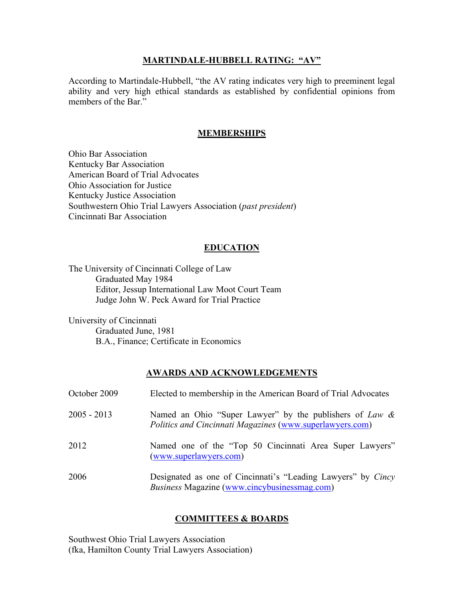#### **MARTINDALE-HUBBELL RATING: "AV"**

According to Martindale-Hubbell, "the AV rating indicates very high to preeminent legal ability and very high ethical standards as established by confidential opinions from members of the Bar."

## **MEMBERSHIPS**

Ohio Bar Association Kentucky Bar Association American Board of Trial Advocates Ohio Association for Justice Kentucky Justice Association Southwestern Ohio Trial Lawyers Association (*past president*) Cincinnati Bar Association

## **EDUCATION**

The University of Cincinnati College of Law Graduated May 1984 Editor, Jessup International Law Moot Court Team Judge John W. Peck Award for Trial Practice

University of Cincinnati Graduated June, 1981 B.A., Finance; Certificate in Economics

## **AWARDS AND ACKNOWLEDGEMENTS**

| October 2009  | Elected to membership in the American Board of Trial Advocates                                                             |
|---------------|----------------------------------------------------------------------------------------------------------------------------|
| $2005 - 2013$ | Named an Ohio "Super Lawyer" by the publishers of Law &<br><b>Politics and Cincinnati Magazines (www.superlawyers.com)</b> |
| 2012          | Named one of the "Top 50 Cincinnati Area Super Lawyers"<br>(www.superlawyers.com)                                          |
| 2006          | Designated as one of Cincinnati's "Leading Lawyers" by Cincy<br>Business Magazine (www.cincybusinessmag.com)               |

## **COMMITTEES & BOARDS**

Southwest Ohio Trial Lawyers Association (fka, Hamilton County Trial Lawyers Association)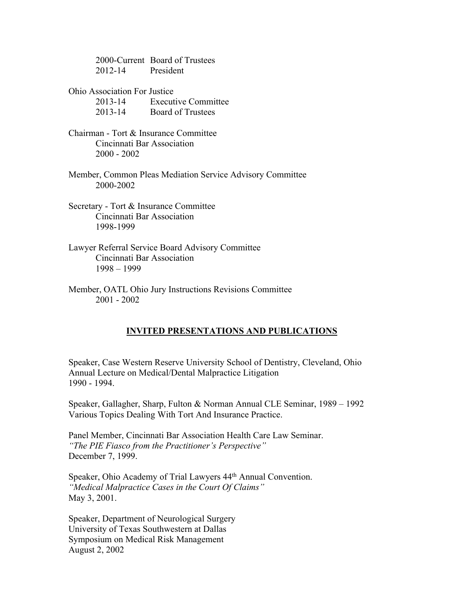2000-Current Board of Trustees 2012-14 President

Ohio Association For Justice

2013-14 Executive Committee 2013-14 Board of Trustees

- Chairman Tort & Insurance Committee Cincinnati Bar Association 2000 - 2002
- Member, Common Pleas Mediation Service Advisory Committee 2000-2002
- Secretary Tort & Insurance Committee Cincinnati Bar Association 1998-1999
- Lawyer Referral Service Board Advisory Committee Cincinnati Bar Association 1998 – 1999
- Member, OATL Ohio Jury Instructions Revisions Committee 2001 - 2002

## **INVITED PRESENTATIONS AND PUBLICATIONS**

Speaker, Case Western Reserve University School of Dentistry, Cleveland, Ohio Annual Lecture on Medical/Dental Malpractice Litigation 1990 - 1994.

Speaker, Gallagher, Sharp, Fulton & Norman Annual CLE Seminar, 1989 – 1992 Various Topics Dealing With Tort And Insurance Practice.

Panel Member, Cincinnati Bar Association Health Care Law Seminar. *"The PIE Fiasco from the Practitioner's Perspective"* December 7, 1999.

Speaker, Ohio Academy of Trial Lawyers 44<sup>th</sup> Annual Convention. *"Medical Malpractice Cases in the Court Of Claims"* May 3, 2001.

Speaker, Department of Neurological Surgery University of Texas Southwestern at Dallas Symposium on Medical Risk Management August 2, 2002